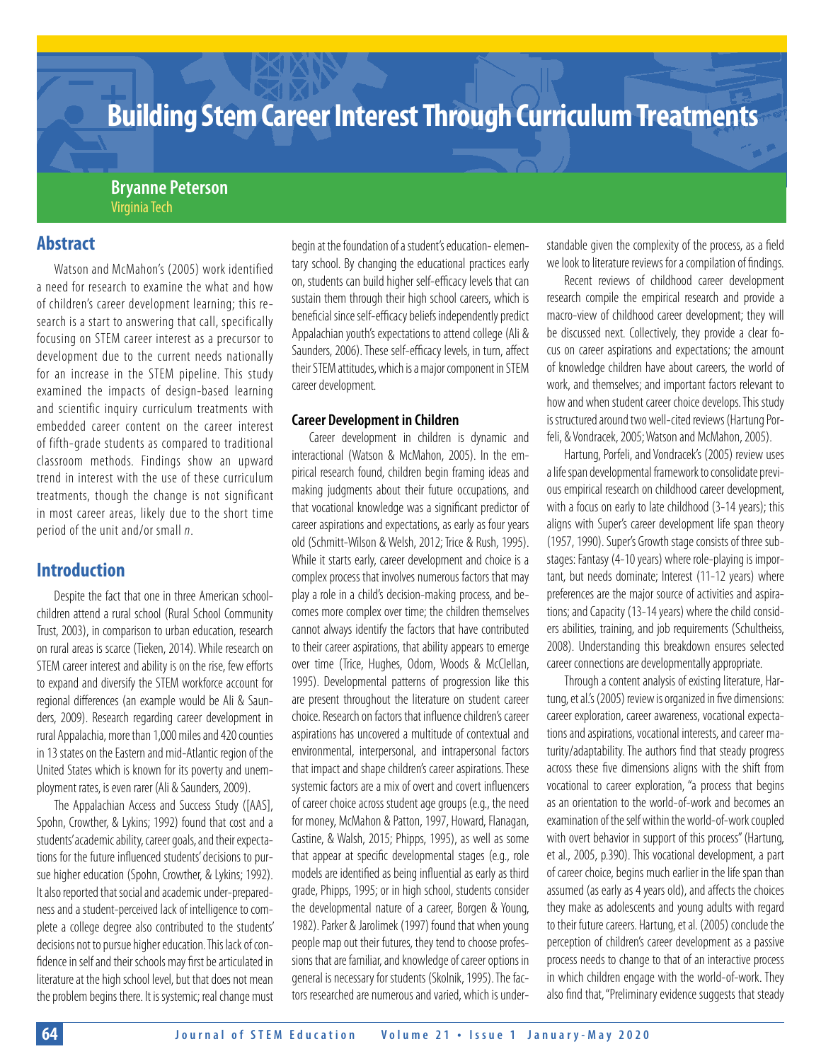# **Building Stem Career Interest Through Curriculum Treatments**

## **Bryanne Peterson** Virginia Tech

## **Abstract**

Watson and McMahon's (2005) work identified a need for research to examine the what and how of children's career development learning; this research is a start to answering that call, specifically focusing on STEM career interest as a precursor to development due to the current needs nationally for an increase in the STEM pipeline. This study examined the impacts of design-based learning and scientific inquiry curriculum treatments with embedded career content on the career interest of fifth-grade students as compared to traditional classroom methods. Findings show an upward trend in interest with the use of these curriculum treatments, though the change is not significant in most career areas, likely due to the short time period of the unit and/or small *n*.

## **Introduction**

Despite the fact that one in three American schoolchildren attend a rural school (Rural School Community Trust, 2003), in comparison to urban education, research on rural areas is scarce (Tieken, 2014). While research on STEM career interest and ability is on the rise, few efforts to expand and diversify the STEM workforce account for regional differences (an example would be Ali & Saunders, 2009). Research regarding career development in rural Appalachia, more than 1,000 miles and 420 counties in 13 states on the Eastern and mid-Atlantic region of the United States which is known for its poverty and unemployment rates, is even rarer (Ali & Saunders, 2009).

The Appalachian Access and Success Study ([AAS], Spohn, Crowther, & Lykins; 1992) found that cost and a students' academic ability, career goals, and their expectations for the future influenced students' decisions to pursue higher education (Spohn, Crowther, & Lykins; 1992). It also reported that social and academic under-preparedness and a student-perceived lack of intelligence to complete a college degree also contributed to the students' decisions not to pursue higher education. This lack of confidence in self and their schools may first be articulated in literature at the high school level, but that does not mean the problem begins there. It is systemic; real change must begin at the foundation of a student's education- elementary school. By changing the educational practices early on, students can build higher self-efficacy levels that can sustain them through their high school careers, which is beneficial since self-efficacy beliefs independently predict Appalachian youth's expectations to attend college (Ali & Saunders, 2006). These self-efficacy levels, in turn, affect their STEM attitudes, which is a major component in STEM career development.

#### **Career Development in Children**

Career development in children is dynamic and interactional (Watson & McMahon, 2005). In the empirical research found, children begin framing ideas and making judgments about their future occupations, and that vocational knowledge was a significant predictor of career aspirations and expectations, as early as four years old (Schmitt-Wilson & Welsh, 2012; Trice & Rush, 1995). While it starts early, career development and choice is a complex process that involves numerous factors that may play a role in a child's decision-making process, and becomes more complex over time; the children themselves cannot always identify the factors that have contributed to their career aspirations, that ability appears to emerge over time (Trice, Hughes, Odom, Woods & McClellan, 1995). Developmental patterns of progression like this are present throughout the literature on student career choice. Research on factors that influence children's career aspirations has uncovered a multitude of contextual and environmental, interpersonal, and intrapersonal factors that impact and shape children's career aspirations. These systemic factors are a mix of overt and covert influencers of career choice across student age groups (e.g., the need for money, McMahon & Patton, 1997, Howard, Flanagan, Castine, & Walsh, 2015; Phipps, 1995), as well as some that appear at specific developmental stages (e.g., role models are identified as being influential as early as third grade, Phipps, 1995; or in high school, students consider the developmental nature of a career, Borgen & Young, 1982). Parker & Jarolimek (1997) found that when young people map out their futures, they tend to choose professions that are familiar, and knowledge of career options in general is necessary for students (Skolnik, 1995). The factors researched are numerous and varied, which is understandable given the complexity of the process, as a field we look to literature reviews for a compilation of findings.

Recent reviews of childhood career development research compile the empirical research and provide a macro-view of childhood career development; they will be discussed next. Collectively, they provide a clear focus on career aspirations and expectations; the amount of knowledge children have about careers, the world of work, and themselves; and important factors relevant to how and when student career choice develops. This study is structured around two well-cited reviews (Hartung Porfeli, & Vondracek, 2005; Watson and McMahon, 2005).

Hartung, Porfeli, and Vondracek's (2005) review uses a life span developmental framework to consolidate previous empirical research on childhood career development, with a focus on early to late childhood (3-14 years); this aligns with Super's career development life span theory (1957, 1990). Super's Growth stage consists of three substages: Fantasy (4-10 years) where role-playing is important, but needs dominate; Interest (11-12 years) where preferences are the major source of activities and aspirations; and Capacity (13-14 years) where the child considers abilities, training, and job requirements (Schultheiss, 2008). Understanding this breakdown ensures selected career connections are developmentally appropriate.

Through a content analysis of existing literature, Hartung, et al.'s (2005) review is organized in five dimensions: career exploration, career awareness, vocational expectations and aspirations, vocational interests, and career maturity/adaptability. The authors find that steady progress across these five dimensions aligns with the shift from vocational to career exploration, "a process that begins as an orientation to the world-of-work and becomes an examination of the self within the world-of-work coupled with overt behavior in support of this process" (Hartung, et al., 2005, p.390). This vocational development, a part of career choice, begins much earlier in the life span than assumed (as early as 4 years old), and affects the choices they make as adolescents and young adults with regard to their future careers. Hartung, et al. (2005) conclude the perception of children's career development as a passive process needs to change to that of an interactive process in which children engage with the world-of-work. They also find that, "Preliminary evidence suggests that steady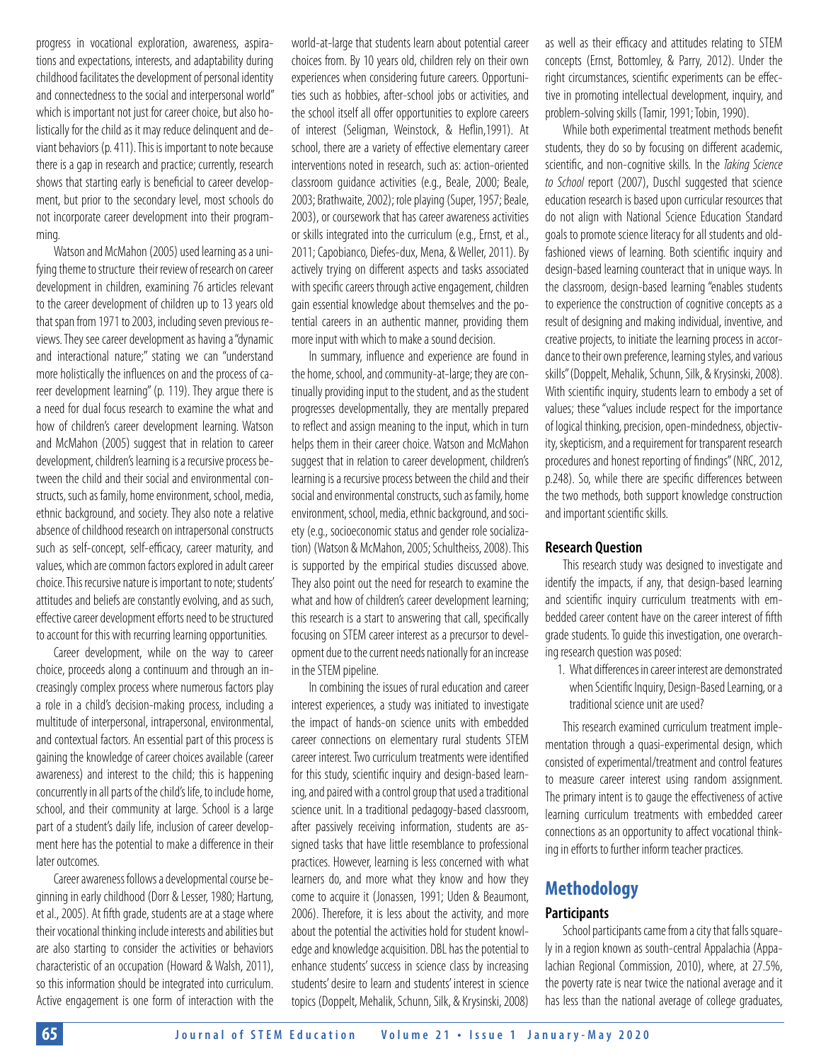progress in vocational exploration, awareness, aspirations and expectations, interests, and adaptability during childhood facilitates the development of personal identity and connectedness to the social and interpersonal world" which is important not just for career choice, but also holistically for the child as it may reduce delinquent and deviant behaviors (p. 411). This is important to note because there is a gap in research and practice; currently, research shows that starting early is beneficial to career development, but prior to the secondary level, most schools do not incorporate career development into their programming.

Watson and McMahon (2005) used learning as a unifying theme to structure their review of research on career development in children, examining 76 articles relevant to the career development of children up to 13 years old that span from 1971 to 2003, including seven previous reviews. They see career development as having a "dynamic and interactional nature;" stating we can "understand more holistically the influences on and the process of career development learning" (p. 119). They argue there is a need for dual focus research to examine the what and how of children's career development learning. Watson and McMahon (2005) suggest that in relation to career development, children's learning is a recursive process between the child and their social and environmental constructs, such as family, home environment, school, media, ethnic background, and society. They also note a relative absence of childhood research on intrapersonal constructs such as self-concept, self-efficacy, career maturity, and values, which are common factors explored in adult career choice. This recursive nature is important to note; students' attitudes and beliefs are constantly evolving, and as such, effective career development efforts need to be structured to account for this with recurring learning opportunities.

Career development, while on the way to career choice, proceeds along a continuum and through an increasingly complex process where numerous factors play a role in a child's decision-making process, including a multitude of interpersonal, intrapersonal, environmental, and contextual factors. An essential part of this process is gaining the knowledge of career choices available (career awareness) and interest to the child; this is happening concurrently in all parts of the child's life, to include home, school, and their community at large. School is a large part of a student's daily life, inclusion of career development here has the potential to make a difference in their later outcomes.

Career awareness follows a developmental course beginning in early childhood (Dorr & Lesser, 1980; Hartung, et al., 2005). At fifth grade, students are at a stage where their vocational thinking include interests and abilities but are also starting to consider the activities or behaviors characteristic of an occupation (Howard & Walsh, 2011), so this information should be integrated into curriculum. Active engagement is one form of interaction with the world-at-large that students learn about potential career choices from. By 10 years old, children rely on their own experiences when considering future careers. Opportunities such as hobbies, after-school jobs or activities, and the school itself all offer opportunities to explore careers of interest (Seligman, Weinstock, & Heflin,1991). At school, there are a variety of effective elementary career interventions noted in research, such as: action-oriented classroom guidance activities (e.g., Beale, 2000; Beale, 2003; Brathwaite, 2002); role playing (Super, 1957; Beale, 2003), or coursework that has career awareness activities or skills integrated into the curriculum (e.g., Ernst, et al., 2011; Capobianco, Diefes-dux, Mena, & Weller, 2011). By actively trying on different aspects and tasks associated with specific careers through active engagement, children gain essential knowledge about themselves and the potential careers in an authentic manner, providing them more input with which to make a sound decision.

In summary, influence and experience are found in the home, school, and community-at-large; they are continually providing input to the student, and as the student progresses developmentally, they are mentally prepared to reflect and assign meaning to the input, which in turn helps them in their career choice. Watson and McMahon suggest that in relation to career development, children's learning is a recursive process between the child and their social and environmental constructs, such as family, home environment, school, media, ethnic background, and society (e.g., socioeconomic status and gender role socialization) (Watson & McMahon, 2005; Schultheiss, 2008). This is supported by the empirical studies discussed above. They also point out the need for research to examine the what and how of children's career development learning; this research is a start to answering that call, specifically focusing on STEM career interest as a precursor to development due to the current needs nationally for an increase in the STEM pipeline.

In combining the issues of rural education and career interest experiences, a study was initiated to investigate the impact of hands-on science units with embedded career connections on elementary rural students STEM career interest. Two curriculum treatments were identified for this study, scientific inquiry and design-based learning, and paired with a control group that used a traditional science unit. In a traditional pedagogy-based classroom, after passively receiving information, students are assigned tasks that have little resemblance to professional practices. However, learning is less concerned with what learners do, and more what they know and how they come to acquire it (Jonassen, 1991; Uden & Beaumont, 2006). Therefore, it is less about the activity, and more about the potential the activities hold for student knowledge and knowledge acquisition. DBL has the potential to enhance students' success in science class by increasing students' desire to learn and students' interest in science topics (Doppelt, Mehalik, Schunn, Silk, & Krysinski, 2008)

as well as their efficacy and attitudes relating to STEM concepts (Ernst, Bottomley, & Parry, 2012). Under the right circumstances, scientific experiments can be effective in promoting intellectual development, inquiry, and problem-solving skills (Tamir, 1991; Tobin, 1990).

While both experimental treatment methods benefit students, they do so by focusing on different academic, scientific, and non-cognitive skills. In the *Taking Science to School* report (2007), Duschl suggested that science education research is based upon curricular resources that do not align with National Science Education Standard goals to promote science literacy for all students and oldfashioned views of learning. Both scientific inquiry and design-based learning counteract that in unique ways. In the classroom, design-based learning "enables students to experience the construction of cognitive concepts as a result of designing and making individual, inventive, and creative projects, to initiate the learning process in accordance to their own preference, learning styles, and various skills" (Doppelt, Mehalik, Schunn, Silk, & Krysinski, 2008). With scientific inquiry, students learn to embody a set of values; these "values include respect for the importance of logical thinking, precision, open-mindedness, objectivity, skepticism, and a requirement for transparent research procedures and honest reporting of findings" (NRC, 2012, p.248). So, while there are specific differences between the two methods, both support knowledge construction and important scientific skills.

#### **Research Question**

This research study was designed to investigate and identify the impacts, if any, that design-based learning and scientific inquiry curriculum treatments with embedded career content have on the career interest of fifth grade students. To guide this investigation, one overarching research question was posed:

1. What differences in career interest are demonstrated when Scientific Inquiry, Design-Based Learning, or a traditional science unit are used?

This research examined curriculum treatment implementation through a quasi-experimental design, which consisted of experimental/treatment and control features to measure career interest using random assignment. The primary intent is to gauge the effectiveness of active learning curriculum treatments with embedded career connections as an opportunity to affect vocational thinking in efforts to further inform teacher practices.

## **Methodology**

## **Participants**

School participants came from a city that falls squarely in a region known as south-central Appalachia (Appalachian Regional Commission, 2010), where, at 27.5%, the poverty rate is near twice the national average and it has less than the national average of college graduates,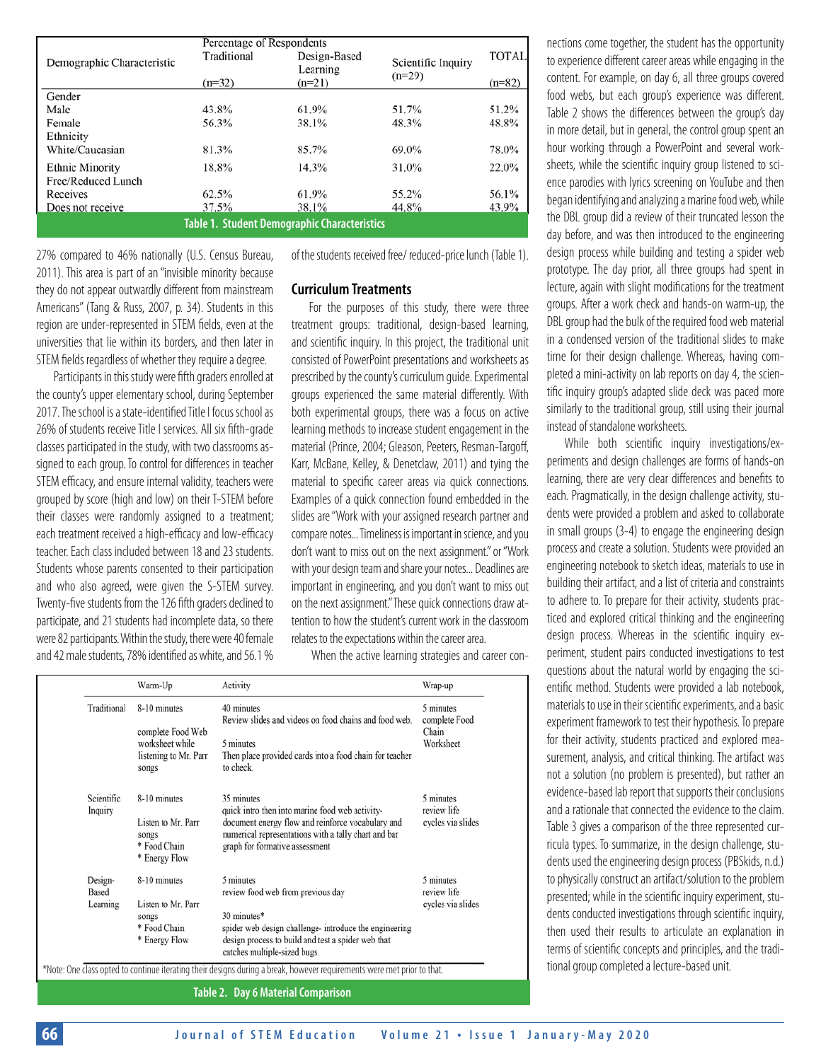|                                              | Percentage of Respondents |              |                                |              |  |  |
|----------------------------------------------|---------------------------|--------------|--------------------------------|--------------|--|--|
| Demographic Characteristic                   | Traditional               | Design-Based |                                | <b>TOTAL</b> |  |  |
|                                              |                           | Learning     | Scientific Inquiry<br>$(n=29)$ |              |  |  |
|                                              | $(n=32)$                  | $(n=21)$     |                                | $(n=82)$     |  |  |
| Gender                                       |                           |              |                                |              |  |  |
| Male                                         | 43.8%                     | 61.9%        | 51.7%                          | 51.2%        |  |  |
| Female                                       | 56.3%                     | 38.1%        | 48.3%                          | 48.8%        |  |  |
| Ethnicity                                    |                           |              |                                |              |  |  |
| White/Caucasian                              | 81.3%                     | 85.7%        | 69.0%                          | 78.0%        |  |  |
| <b>Ethnic Minority</b>                       | 18.8%                     | 14.3%        | 31.0%                          | 22.0%        |  |  |
| Free/Reduced Lunch                           |                           |              |                                |              |  |  |
| Receives                                     | 62.5%                     | 61.9%        | 55.2%                          | 56.1%        |  |  |
| Does not receive                             | 37.5%                     | 38.1%        | 44.8%                          | 43.9%        |  |  |
| Table 1. Student Demographic Characteristics |                           |              |                                |              |  |  |

27% compared to 46% nationally (U.S. Census Bureau, 2011). This area is part of an "invisible minority because they do not appear outwardly different from mainstream Americans" (Tang & Russ, 2007, p. 34). Students in this region are under-represented in STEM fields, even at the universities that lie within its borders, and then later in STEM fields regardless of whether they require a degree.

Participants in this study were fifth graders enrolled at the county's upper elementary school, during September 2017. The school is a state-identified Title I focus school as 26% of students receive Title I services. All six fifth-grade classes participated in the study, with two classrooms assigned to each group. To control for differences in teacher STEM efficacy, and ensure internal validity, teachers were grouped by score (high and low) on their T-STEM before their classes were randomly assigned to a treatment; each treatment received a high-efficacy and low-efficacy teacher. Each class included between 18 and 23 students. Students whose parents consented to their participation and who also agreed, were given the S-STEM survey. Twenty-five students from the 126 fifth graders declined to participate, and 21 students had incomplete data, so there were 82 participants. Within the study, there were 40 female and 42 male students, 78% identified as white, and 56.1 %

of the students received free/ reduced-price lunch (Table 1).

#### **Curriculum Treatments**

For the purposes of this study, there were three treatment groups: traditional, design-based learning, and scientific inquiry. In this project, the traditional unit consisted of PowerPoint presentations and worksheets as prescribed by the county's curriculum guide. Experimental groups experienced the same material differently. With both experimental groups, there was a focus on active learning methods to increase student engagement in the material (Prince, 2004; Gleason, Peeters, Resman-Targoff, Karr, McBane, Kelley, & Denetclaw, 2011) and tying the material to specific career areas via quick connections. Examples of a quick connection found embedded in the slides are "Work with your assigned research partner and compare notes... Timeliness is important in science, and you don't want to miss out on the next assignment." or "Work with your design team and share your notes... Deadlines are important in engineering, and you don't want to miss out on the next assignment." These quick connections draw attention to how the student's current work in the classroom relates to the expectations within the career area.

When the active learning strategies and career con-

|                       | Warm-Up                                                      | Activity                                                                                                                                                     | Wrap-up                             |
|-----------------------|--------------------------------------------------------------|--------------------------------------------------------------------------------------------------------------------------------------------------------------|-------------------------------------|
| Traditional           | 8-10 minutes<br>complete Food Web                            | 40 minutes<br>Review slides and videos on food chains and food web.                                                                                          | 5 minutes<br>complete Food<br>Chain |
|                       | worksheet while<br>listening to Mr. Parr<br>songs            | 5 minutes<br>Then place provided cards into a food chain for teacher<br>to check.                                                                            | Worksheet                           |
| Scientific<br>Inquiry | 8-10 minutes                                                 | 35 minutes<br>quick intro then into marine food web activity-                                                                                                | 5 minutes<br>review life            |
|                       | Listen to Mr. Parr<br>songs<br>* Food Chain<br>* Energy Flow | document energy flow and reinforce vocabulary and<br>numerical representations with a tally chart and bar<br>graph for formative assessment                  | cycles via slides                   |
| Design-               | 8-10 minutes                                                 | 5 minutes                                                                                                                                                    | 5 minutes                           |
| Learning              | Listen to Mr. Parr<br>songs<br>* Food Chain                  | 30 minutes*<br>spider web design challenge- introduce the engineering                                                                                        | cycles via slides                   |
|                       | * Energy Flow                                                | design process to build and test a spider web that<br>catches multiple-sized bugs.                                                                           |                                     |
| Based                 |                                                              | review food web from previous day<br>*Note: One class opted to continue iterating their designs during a break, however requirements were met prior to that. | review life                         |

**Table 2. Day 6 Material Comparison**

nections come together, the student has the opportunity to experience different career areas while engaging in the content. For example, on day 6, all three groups covered food webs, but each group's experience was different. Table 2 shows the differences between the group's day in more detail, but in general, the control group spent an hour working through a PowerPoint and several worksheets, while the scientific inquiry group listened to science parodies with lyrics screening on YouTube and then began identifying and analyzing a marine food web, while the DBL group did a review of their truncated lesson the day before, and was then introduced to the engineering design process while building and testing a spider web prototype. The day prior, all three groups had spent in lecture, again with slight modifications for the treatment groups. After a work check and hands-on warm-up, the DBL group had the bulk of the required food web material in a condensed version of the traditional slides to make time for their design challenge. Whereas, having completed a mini-activity on lab reports on day 4, the scientific inquiry group's adapted slide deck was paced more similarly to the traditional group, still using their journal instead of standalone worksheets.

While both scientific inquiry investigations/experiments and design challenges are forms of hands-on learning, there are very clear differences and benefits to each. Pragmatically, in the design challenge activity, students were provided a problem and asked to collaborate in small groups (3-4) to engage the engineering design process and create a solution. Students were provided an engineering notebook to sketch ideas, materials to use in building their artifact, and a list of criteria and constraints to adhere to. To prepare for their activity, students practiced and explored critical thinking and the engineering design process. Whereas in the scientific inquiry experiment, student pairs conducted investigations to test questions about the natural world by engaging the scientific method. Students were provided a lab notebook, materials to use in their scientific experiments, and a basic experiment framework to test their hypothesis. To prepare for their activity, students practiced and explored measurement, analysis, and critical thinking. The artifact was not a solution (no problem is presented), but rather an evidence-based lab report that supports their conclusions and a rationale that connected the evidence to the claim. Table 3 gives a comparison of the three represented curricula types. To summarize, in the design challenge, students used the engineering design process (PBSkids, n.d.) to physically construct an artifact/solution to the problem presented; while in the scientific inquiry experiment, students conducted investigations through scientific inquiry, then used their results to articulate an explanation in terms of scientific concepts and principles, and the traditional group completed a lecture-based unit.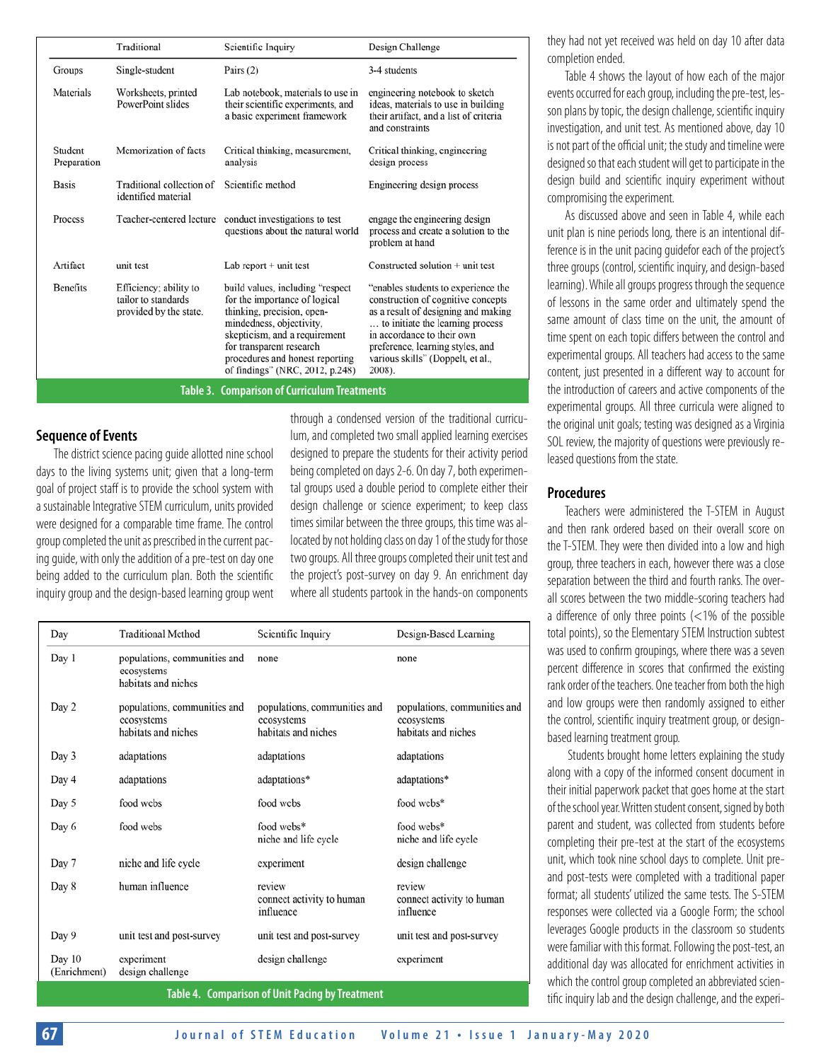|                                                     | Traditional                                                             | Scientific Inquiry                                                                                                                                                                                                                                              | Design Challenge                                                                                                                                                                                                                                                      |  |  |  |
|-----------------------------------------------------|-------------------------------------------------------------------------|-----------------------------------------------------------------------------------------------------------------------------------------------------------------------------------------------------------------------------------------------------------------|-----------------------------------------------------------------------------------------------------------------------------------------------------------------------------------------------------------------------------------------------------------------------|--|--|--|
| Groups                                              | Single-student                                                          | Pairs $(2)$                                                                                                                                                                                                                                                     | 3-4 students                                                                                                                                                                                                                                                          |  |  |  |
| Materials                                           | Worksheets, printed<br>PowerPoint slides                                | Lab notebook, materials to use in<br>their scientific experiments, and<br>a basic experiment framework                                                                                                                                                          | engineering notebook to sketch<br>ideas, materials to use in building<br>their artifact, and a list of criteria<br>and constraints                                                                                                                                    |  |  |  |
| Student<br>Preparation                              | Memorization of facts                                                   | Critical thinking, measurement,<br>analysis                                                                                                                                                                                                                     | Critical thinking, engineering<br>design process                                                                                                                                                                                                                      |  |  |  |
| <b>Basis</b>                                        | Traditional collection of<br>identified material                        | Scientific method                                                                                                                                                                                                                                               | Engineering design process                                                                                                                                                                                                                                            |  |  |  |
| Process                                             | Teacher-centered lecture                                                | conduct investigations to test<br>questions about the natural world                                                                                                                                                                                             | engage the engineering design<br>process and create a solution to the<br>problem at hand                                                                                                                                                                              |  |  |  |
| Artifact                                            | unit test                                                               | Lab report $+$ unit test                                                                                                                                                                                                                                        | $Constructed solution + unit test$                                                                                                                                                                                                                                    |  |  |  |
| <b>Benefits</b>                                     | Efficiency; ability to<br>tailor to standards<br>provided by the state. | build values, including "respect"<br>for the importance of logical<br>thinking, precision, open-<br>mindedness, objectivity,<br>skepticism, and a requirement<br>for transparent research<br>procedures and honest reporting<br>of findings" (NRC, 2012, p.248) | "enables students to experience the<br>construction of cognitive concepts<br>as a result of designing and making<br>to initiate the learning process<br>in accordance to their own<br>preference, learning styles, and<br>various skills" (Doppelt, et al.,<br>2008). |  |  |  |
| <b>Table 3. Comparison of Curriculum Treatments</b> |                                                                         |                                                                                                                                                                                                                                                                 |                                                                                                                                                                                                                                                                       |  |  |  |

#### **Sequence of Events**

The district science pacing guide allotted nine school days to the living systems unit; given that a long-term goal of project staff is to provide the school system with a sustainable Integrative STEM curriculum, units provided were designed for a comparable time frame. The control group completed the unit as prescribed in the current pacing guide, with only the addition of a pre-test on day one being added to the curriculum plan. Both the scientific inquiry group and the design-based learning group went through a condensed version of the traditional curriculum, and completed two small applied learning exercises designed to prepare the students for their activity period being completed on days 2-6. On day 7, both experimental groups used a double period to complete either their design challenge or science experiment; to keep class times similar between the three groups, this time was allocated by not holding class on day 1 of the study for those two groups. All three groups completed their unit test and the project's post-survey on day 9. An enrichment day where all students partook in the hands-on components

| Day                    | <b>Traditional Method</b>                                         | Scientific Inquiry                                                | Design-Based Learning                                             |
|------------------------|-------------------------------------------------------------------|-------------------------------------------------------------------|-------------------------------------------------------------------|
| Day 1                  | populations, communities and<br>ecosystems<br>habitats and niches | none                                                              | none                                                              |
| Day 2                  | populations, communities and<br>ccosystems<br>habitats and niches | populations, communities and<br>ecosystems<br>habitats and niches | populations, communities and<br>ccosystems<br>habitats and niches |
| Day 3                  | adaptations                                                       | adaptations                                                       | adaptations                                                       |
| Day 4                  | adaptations                                                       | adaptations*                                                      | adaptations*                                                      |
| Day 5                  | food webs                                                         | food webs                                                         | food webs*                                                        |
| Day 6                  | food webs                                                         | food webs*<br>niche and life cycle                                | food webs*<br>niche and life cycle                                |
| Day 7                  | niche and life cycle                                              | experiment                                                        | design challenge                                                  |
| Day 8                  | human influence                                                   | review<br>connect activity to human<br>influence                  | review<br>connect activity to human<br>influence                  |
| Day 9                  | unit test and post-survey                                         | unit test and post-survey                                         | unit test and post-survey                                         |
| Day 10<br>(Enrichment) | experiment<br>design challenge                                    | design challenge                                                  | experiment                                                        |
|                        |                                                                   |                                                                   |                                                                   |

they had not yet received was held on day 10 after data completion ended.

Table 4 shows the layout of how each of the major events occurred for each group, including the pre-test, lesson plans by topic, the design challenge, scientific inquiry investigation, and unit test. As mentioned above, day 10 is not part of the official unit; the study and timeline were designed so that each student will get to participate in the design build and scientific inquiry experiment without compromising the experiment.

As discussed above and seen in Table 4, while each unit plan is nine periods long, there is an intentional difference is in the unit pacing guidefor each of the project's three groups (control, scientific inquiry, and design-based learning). While all groups progress through the sequence of lessons in the same order and ultimately spend the same amount of class time on the unit, the amount of time spent on each topic differs between the control and experimental groups. All teachers had access to the same content, just presented in a different way to account for the introduction of careers and active components of the experimental groups. All three curricula were aligned to the original unit goals; testing was designed as a Virginia SOL review, the majority of questions were previously released questions from the state.

#### **Procedures**

Teachers were administered the T-STEM in August and then rank ordered based on their overall score on the T-STEM. They were then divided into a low and high group, three teachers in each, however there was a close separation between the third and fourth ranks. The overall scores between the two middle-scoring teachers had a difference of only three points (<1% of the possible total points), so the Elementary STEM Instruction subtest was used to confirm groupings, where there was a seven percent difference in scores that confirmed the existing rank order of the teachers. One teacher from both the high and low groups were then randomly assigned to either the control, scientific inquiry treatment group, or designbased learning treatment group.

 Students brought home letters explaining the study along with a copy of the informed consent document in their initial paperwork packet that goes home at the start of the school year. Written student consent, signed by both parent and student, was collected from students before completing their pre-test at the start of the ecosystems unit, which took nine school days to complete. Unit preand post-tests were completed with a traditional paper format; all students' utilized the same tests. The S-STEM responses were collected via a Google Form; the school leverages Google products in the classroom so students were familiar with this format. Following the post-test, an additional day was allocated for enrichment activities in which the control group completed an abbreviated scien-Table 4. Comparison of Unit Pacing by Treatment **Table 3. Table 4. Comparison of Unit Pacing by Treatment**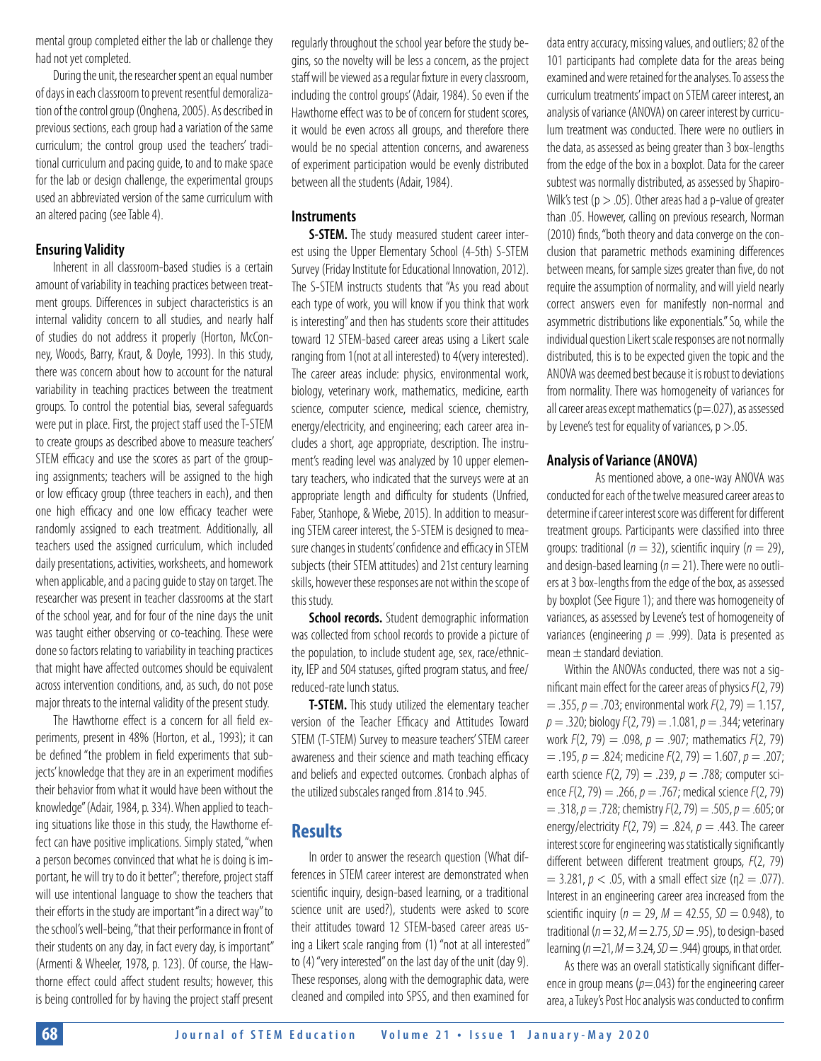mental group completed either the lab or challenge they had not yet completed.

During the unit, the researcher spent an equal number of days in each classroom to prevent resentful demoralization of the control group (Onghena, 2005). As described in previous sections, each group had a variation of the same curriculum; the control group used the teachers' traditional curriculum and pacing guide, to and to make space for the lab or design challenge, the experimental groups used an abbreviated version of the same curriculum with an altered pacing (see Table 4).

#### **Ensuring Validity**

Inherent in all classroom-based studies is a certain amount of variability in teaching practices between treatment groups. Differences in subject characteristics is an internal validity concern to all studies, and nearly half of studies do not address it properly (Horton, McConney, Woods, Barry, Kraut, & Doyle, 1993). In this study, there was concern about how to account for the natural variability in teaching practices between the treatment groups. To control the potential bias, several safeguards were put in place. First, the project staff used the T-STEM to create groups as described above to measure teachers' STEM efficacy and use the scores as part of the grouping assignments; teachers will be assigned to the high or low efficacy group (three teachers in each), and then one high efficacy and one low efficacy teacher were randomly assigned to each treatment. Additionally, all teachers used the assigned curriculum, which included daily presentations, activities, worksheets, and homework when applicable, and a pacing guide to stay on target. The researcher was present in teacher classrooms at the start of the school year, and for four of the nine days the unit was taught either observing or co-teaching. These were done so factors relating to variability in teaching practices that might have affected outcomes should be equivalent across intervention conditions, and, as such, do not pose major threats to the internal validity of the present study.

The Hawthorne effect is a concern for all field experiments, present in 48% (Horton, et al., 1993); it can be defined "the problem in field experiments that subjects' knowledge that they are in an experiment modifies their behavior from what it would have been without the knowledge" (Adair, 1984, p. 334). When applied to teaching situations like those in this study, the Hawthorne effect can have positive implications. Simply stated, "when a person becomes convinced that what he is doing is important, he will try to do it better"; therefore, project staff will use intentional language to show the teachers that their efforts in the study are important "in a direct way" to the school's well-being, "that their performance in front of their students on any day, in fact every day, is important" (Armenti & Wheeler, 1978, p. 123). Of course, the Hawthorne effect could affect student results; however, this is being controlled for by having the project staff present

regularly throughout the school year before the study begins, so the novelty will be less a concern, as the project staff will be viewed as a regular fixture in every classroom, including the control groups' (Adair, 1984). So even if the Hawthorne effect was to be of concern for student scores, it would be even across all groups, and therefore there would be no special attention concerns, and awareness of experiment participation would be evenly distributed between all the students (Adair, 1984).

#### **Instruments**

**S-STEM.** The study measured student career interest using the Upper Elementary School (4-5th) S-STEM Survey (Friday Institute for Educational Innovation, 2012). The S-STEM instructs students that "As you read about each type of work, you will know if you think that work is interesting" and then has students score their attitudes toward 12 STEM-based career areas using a Likert scale ranging from 1(not at all interested) to 4(very interested). The career areas include: physics, environmental work, biology, veterinary work, mathematics, medicine, earth science, computer science, medical science, chemistry, energy/electricity, and engineering; each career area includes a short, age appropriate, description. The instrument's reading level was analyzed by 10 upper elementary teachers, who indicated that the surveys were at an appropriate length and difficulty for students (Unfried, Faber, Stanhope, & Wiebe, 2015). In addition to measuring STEM career interest, the S-STEM is designed to measure changes in students' confidence and efficacy in STEM subjects (their STEM attitudes) and 21st century learning skills, however these responses are not within the scope of this study.

**School records.** Student demographic information was collected from school records to provide a picture of the population, to include student age, sex, race/ethnicity, IEP and 504 statuses, gifted program status, and free/ reduced-rate lunch status.

**T-STEM.** This study utilized the elementary teacher version of the Teacher Efficacy and Attitudes Toward STEM (T-STEM) Survey to measure teachers' STEM career awareness and their science and math teaching efficacy and beliefs and expected outcomes. Cronbach alphas of the utilized subscales ranged from .814 to .945.

## **Results**

In order to answer the research question (What differences in STEM career interest are demonstrated when scientific inquiry, design-based learning, or a traditional science unit are used?), students were asked to score their attitudes toward 12 STEM-based career areas using a Likert scale ranging from (1) "not at all interested" to (4) "very interested" on the last day of the unit (day 9). These responses, along with the demographic data, were cleaned and compiled into SPSS, and then examined for

data entry accuracy, missing values, and outliers; 82 of the 101 participants had complete data for the areas being examined and were retained for the analyses. To assess the curriculum treatments' impact on STEM career interest, an analysis of variance (ANOVA) on career interest by curriculum treatment was conducted. There were no outliers in the data, as assessed as being greater than 3 box-lengths from the edge of the box in a boxplot. Data for the career subtest was normally distributed, as assessed by Shapiro-Wilk's test ( $p > .05$ ). Other areas had a p-value of greater than .05. However, calling on previous research, Norman (2010) finds, "both theory and data converge on the conclusion that parametric methods examining differences between means, for sample sizes greater than five, do not require the assumption of normality, and will yield nearly correct answers even for manifestly non-normal and asymmetric distributions like exponentials." So, while the individual question Likert scale responses are not normally distributed, this is to be expected given the topic and the ANOVA was deemed best because it is robust to deviations from normality. There was homogeneity of variances for all career areas except mathematics  $(p=0.027)$ , as assessed by Levene's test for equality of variances,  $p > 0.05$ .

#### **Analysis of Variance (ANOVA)**

 As mentioned above, a one-way ANOVA was conducted for each of the twelve measured career areas to determine if career interest score was different for different treatment groups. Participants were classified into three groups: traditional (*n* = 32), scientific inquiry (*n* = 29), and design-based learning ( $n = 21$ ). There were no outliers at 3 box-lengths from the edge of the box, as assessed by boxplot (See Figure 1); and there was homogeneity of variances, as assessed by Levene's test of homogeneity of variances (engineering  $p = .999$ ). Data is presented as mean  $\pm$  standard deviation.

Within the ANOVAs conducted, there was not a significant main effect for the career areas of physics *F*(2, 79) = .355, *p* = .703; environmental work *F*(2, 79) = 1.157, *p* = .320; biology *F*(2, 79) = .1.081, *p* = .344; veterinary work *F*(2, 79) = .098, *p* = .907; mathematics *F*(2, 79) = .195, *p* = .824; medicine *F*(2, 79) = 1.607, *p* = .207; earth science *F*(2, 79) = .239, *p* = .788; computer science *F*(2, 79) = .266, *p* = .767; medical science *F*(2, 79) = .318, *p* = .728; chemistry *F*(2, 79) = .505, *p* = .605; or energy/electricity  $F(2, 79) = .824$ ,  $p = .443$ . The career interest score for engineering was statistically significantly different between different treatment groups, *F*(2, 79)  $= 3.281, p < .05$ , with a small effect size ( $p = .077$ ). Interest in an engineering career area increased from the scientific inquiry ( $n = 29$ ,  $M = 42.55$ ,  $SD = 0.948$ ), to traditional (*n* = 32, *M* = 2.75, *SD* = .95), to design-based learning (*n* =21, *M* = 3.24, *SD* = .944) groups, in that order.

As there was an overall statistically significant difference in group means ( $p=$ .043) for the engineering career area, a Tukey's Post Hoc analysis was conducted to confirm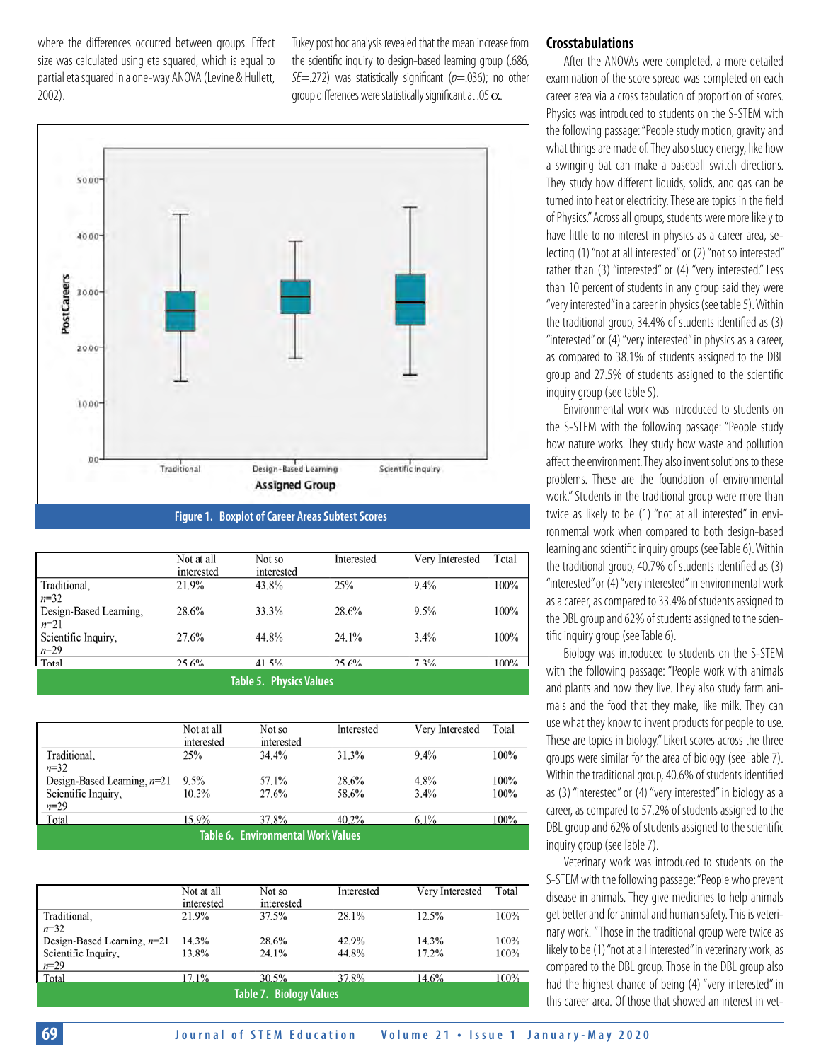where the differences occurred between groups. Effect size was calculated using eta squared, which is equal to partial eta squared in a one-way ANOVA (Levine & Hullett, 2002).

Tukey post hoc analysis revealed that the mean increase from the scientific inquiry to design-based learning group (.686, *SE*=.272) was statistically significant (*p*=.036); no other group differences were statistically significant at .05  $\alpha$ .



**Figure 1. Boxplot of Career Areas Subtest Scores**

|                                | Not at all<br>interested | Not so<br>interested | Interested | Very Interested | Total |  |
|--------------------------------|--------------------------|----------------------|------------|-----------------|-------|--|
| Traditional,                   | 21.9%                    | 43.8%                | 25%        | 9.4%            | 100%  |  |
| $n = 32$                       |                          |                      |            |                 |       |  |
| Design-Based Learning,         | 28.6%                    | 33.3%                | 28.6%      | 9.5%            | 100%  |  |
| $n=21$                         |                          |                      |            |                 |       |  |
| Scientific Inquiry,            | 27.6%                    | 44.8%                | 24.1%      | 3.4%            | 100%  |  |
| $n=29$                         |                          |                      |            |                 |       |  |
| Total                          | 25.6%                    | 41.5%                | 25.6%      | 7.3%            | 100%  |  |
| <b>Table 5. Physics Values</b> |                          |                      |            |                 |       |  |

|                                    | Not at all<br>interested | Not so<br>interested | Interested | Very Interested | Total |  |  |
|------------------------------------|--------------------------|----------------------|------------|-----------------|-------|--|--|
| Traditional,                       | 25%                      | 34.4%                | 31.3%      | 9.4%            | 100%  |  |  |
| $n=32$                             |                          |                      |            |                 |       |  |  |
| Design-Based Learning, $n=21$      | 9.5%                     | 57.1%                | 28.6%      | 4.8%            | 100%  |  |  |
| Scientific Inquiry,                | 10.3%                    | 27.6%                | 58.6%      | 3.4%            | 100%  |  |  |
| $n=29$                             |                          |                      |            |                 |       |  |  |
| Total                              | 15.9%                    | 37.8%                | 40.2%      | 6.1%            | 100%  |  |  |
| Table 6. Environmental Work Values |                          |                      |            |                 |       |  |  |

|                                | Not at all<br>interested | Not so<br>interested | Interested | Very Interested | Total |  |
|--------------------------------|--------------------------|----------------------|------------|-----------------|-------|--|
| Traditional,                   | 21.9%                    | 37.5%                | 28.1%      | 12.5%           | 100%  |  |
| $n=32$                         |                          |                      |            |                 |       |  |
| Design-Based Learning, $n=21$  | 14.3%                    | 28.6%                | 42.9%      | 14.3%           | 100%  |  |
| Scientific Inquiry,            | 13.8%                    | 24.1%                | 44.8%      | 17.2%           | 100%  |  |
| $n=29$                         |                          |                      |            |                 |       |  |
| Total                          | 17.1%                    | 30.5%                | 37.8%      | 14.6%           | 100%  |  |
| <b>Table 7. Biology Values</b> |                          |                      |            |                 |       |  |

#### **Crosstabulations**

After the ANOVAs were completed, a more detailed examination of the score spread was completed on each career area via a cross tabulation of proportion of scores. Physics was introduced to students on the S-STEM with the following passage: "People study motion, gravity and what things are made of. They also study energy, like how a swinging bat can make a baseball switch directions. They study how different liquids, solids, and gas can be turned into heat or electricity. These are topics in the field of Physics." Across all groups, students were more likely to have little to no interest in physics as a career area, selecting (1) "not at all interested" or (2) "not so interested" rather than (3) "interested" or (4) "very interested." Less than 10 percent of students in any group said they were "very interested" in a career in physics (see table 5). Within the traditional group, 34.4% of students identified as (3) "interested" or (4) "very interested" in physics as a career, as compared to 38.1% of students assigned to the DBL group and 27.5% of students assigned to the scientific inquiry group (see table 5).

Environmental work was introduced to students on the S-STEM with the following passage: "People study how nature works. They study how waste and pollution affect the environment. They also invent solutions to these problems. These are the foundation of environmental work." Students in the traditional group were more than twice as likely to be (1) "not at all interested" in environmental work when compared to both design-based learning and scientific inquiry groups (see Table 6). Within the traditional group, 40.7% of students identified as (3) "interested" or (4) "very interested" in environmental work as a career, as compared to 33.4% of students assigned to the DBL group and 62% of students assigned to the scientific inquiry group (see Table 6).

Biology was introduced to students on the S-STEM with the following passage: "People work with animals and plants and how they live. They also study farm animals and the food that they make, like milk. They can use what they know to invent products for people to use. These are topics in biology." Likert scores across the three groups were similar for the area of biology (see Table 7). Within the traditional group, 40.6% of students identified as (3) "interested" or (4) "very interested" in biology as a career, as compared to 57.2% of students assigned to the DBL group and 62% of students assigned to the scientific inquiry group (see Table 7).

Veterinary work was introduced to students on the S-STEM with the following passage: "People who prevent disease in animals. They give medicines to help animals get better and for animal and human safety. This is veterinary work. " Those in the traditional group were twice as likely to be (1) "not at all interested" in veterinary work, as compared to the DBL group. Those in the DBL group also had the highest chance of being (4) "very interested" in this career area. Of those that showed an interest in vet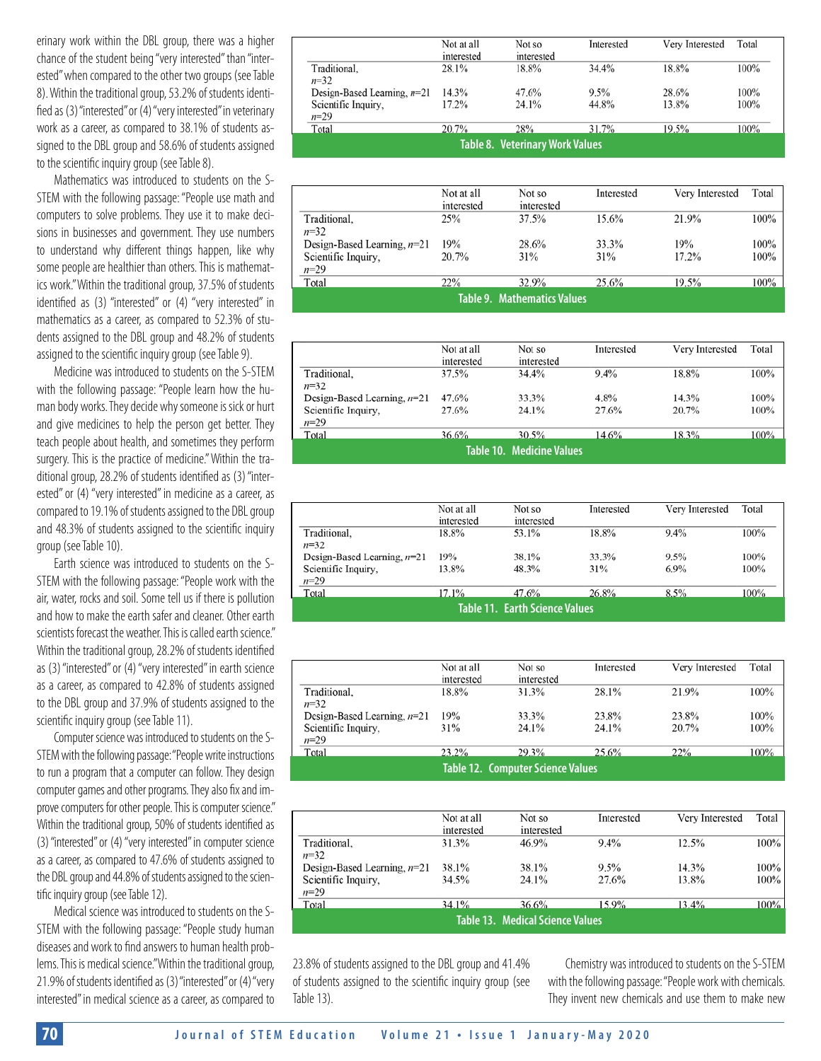erinary work within the DBL group, there was a higher chance of the student being "very interested" than "interested" when compared to the other two groups (see Table 8). Within the traditional group, 53.2% of students identified as (3) "interested" or (4) "very interested" in veterinary work as a career, as compared to 38.1% of students assigned to the DBL group and 58.6% of students assigned to the scientific inquiry group (see Table 8).

Mathematics was introduced to students on the S-STEM with the following passage: "People use math and computers to solve problems. They use it to make decisions in businesses and government. They use numbers to understand why different things happen, like why some people are healthier than others. This is mathematics work." Within the traditional group, 37.5% of students identified as (3) "interested" or (4) "very interested" in mathematics as a career, as compared to 52.3% of students assigned to the DBL group and 48.2% of students assigned to the scientific inquiry group (see Table 9).

Medicine was introduced to students on the S-STEM with the following passage: "People learn how the human body works. They decide why someone is sick or hurt and give medicines to help the person get better. They teach people about health, and sometimes they perform surgery. This is the practice of medicine." Within the traditional group, 28.2% of students identified as (3) "interested" or (4) "very interested" in medicine as a career, as compared to 19.1% of students assigned to the DBL group and 48.3% of students assigned to the scientific inquiry group (see Table 10).

Earth science was introduced to students on the S-STEM with the following passage: "People work with the air, water, rocks and soil. Some tell us if there is pollution and how to make the earth safer and cleaner. Other earth scientists forecast the weather. This is called earth science." Within the traditional group, 28.2% of students identified as (3) "interested" or (4) "very interested" in earth science as a career, as compared to 42.8% of students assigned to the DBL group and 37.9% of students assigned to the scientific inquiry group (see Table 11).

Computer science was introduced to students on the S-STEM with the following passage: "People write instructions to run a program that a computer can follow. They design computer games and other programs. They also fix and improve computers for other people. This is computer science." Within the traditional group, 50% of students identified as (3) "interested" or (4) "very interested" in computer science as a career, as compared to 47.6% of students assigned to the DBL group and 44.8% of students assigned to the scientific inquiry group (see Table 12).

Medical science was introduced to students on the S-STEM with the following passage: "People study human diseases and work to find answers to human health problems. This is medical science." Within the traditional group, 21.9% of students identified as (3) "interested" or (4) "very interested" in medical science as a career, as compared to

|                                        | Not at all<br>interested | Not so<br>interested | Interested | Very Interested | Total |  |  |
|----------------------------------------|--------------------------|----------------------|------------|-----------------|-------|--|--|
| Traditional.                           | 28.1%                    | 18.8%                | 34.4%      | 18.8%           | 100%  |  |  |
| $n = 32$                               |                          |                      |            |                 |       |  |  |
| Design-Based Learning, $n=21$          | 14.3%                    | 47.6%                | 9.5%       | 28.6%           | 100%  |  |  |
| Scientific Inquiry,                    | 17.2%                    | 24.1%                | 44.8%      | 13.8%           | 100%  |  |  |
| $n=29$                                 |                          |                      |            |                 |       |  |  |
| Total                                  | 20.7%                    | 28%                  | 31.7%      | 19.5%           | 100%  |  |  |
| <b>Table 8. Veterinary Work Values</b> |                          |                      |            |                 |       |  |  |

|                               | Not at all<br>interested | Not so<br>interested | Interested | Very Interested | Total |  |  |
|-------------------------------|--------------------------|----------------------|------------|-----------------|-------|--|--|
| Traditional.                  | 25%                      | 37.5%                | 15.6%      | 21.9%           | 100%  |  |  |
| $n = 32$                      |                          |                      |            |                 |       |  |  |
| Design-Based Learning, $n=21$ | 19%                      | 28.6%                | 33.3%      | 19%             | 100%  |  |  |
| Scientific Inquiry,           | 20.7%                    | 31%                  | 31%        | 17.2%           | 100%  |  |  |
| $n=29$                        |                          |                      |            |                 |       |  |  |
| Total                         | 22%                      | 32.9%                | 25.6%      | 19.5%           | 100%  |  |  |
| Table 9. Mathematics Values   |                          |                      |            |                 |       |  |  |

|                                  | Not at all<br>interested | Not so<br>interested | Interested | Very Interested | Total |  |  |
|----------------------------------|--------------------------|----------------------|------------|-----------------|-------|--|--|
| Traditional,                     | 37.5%                    | 34.4%                | 9.4%       | 18.8%           | 100%  |  |  |
| $n = 32$                         |                          |                      |            |                 |       |  |  |
| Design-Based Learning, $n=21$    | 47.6%                    | 33.3%                | 4.8%       | 14.3%           | 100%  |  |  |
| Scientific Inquiry,              | 27.6%                    | 24.1%                | 27.6%      | 20.7%           | 100%  |  |  |
| $n=29$                           |                          |                      |            |                 |       |  |  |
| Total                            | 36.6%                    | 30.5%                | 14.6%      | 18.3%           | 100%  |  |  |
| <b>Table 10. Medicine Values</b> |                          |                      |            |                 |       |  |  |

|                                       | Not at all<br>interested | Not so<br>interested | Interested | Very Interested | Total |  |  |
|---------------------------------------|--------------------------|----------------------|------------|-----------------|-------|--|--|
| Traditional,                          | 18.8%                    | 53.1%                | 18.8%      | $9.4\%$         | 100%  |  |  |
| $n=32$                                |                          |                      |            |                 |       |  |  |
| Design-Based Learning, $n=21$         | 19%                      | 38.1%                | 33.3%      | 9.5%            | 100%  |  |  |
| Scientific Inquiry,                   | 13.8%                    | 48.3%                | 31%        | $6.9\%$         | 100%  |  |  |
| $n=29$                                |                          |                      |            |                 |       |  |  |
| Total                                 | 17.1%                    | 47.6%                | 26.8%      | 8.5%            | 100%  |  |  |
| <b>Table 11. Earth Science Values</b> |                          |                      |            |                 |       |  |  |

|                                          | Not at all<br>interested | Not so<br>interested | Interested | Very Interested | Total |
|------------------------------------------|--------------------------|----------------------|------------|-----------------|-------|
| Traditional,                             | 18.8%                    | 31.3%                | 28.1%      | 21.9%           | 100%  |
| $n=32$                                   |                          |                      |            |                 |       |
| Design-Based Learning, $n=21$            | 19%                      | 33.3%                | 23.8%      | 23.8%           | 100%  |
| Scientific Inquiry,                      | 31%                      | 24.1%                | 24.1%      | 20.7%           | 100%  |
| $n=29$                                   |                          |                      |            |                 |       |
| Total                                    | 23.2%                    | 29.3%                | 25.6%      | 22%             | 100%  |
| <b>Table 12. Computer Science Values</b> |                          |                      |            |                 |       |

|                                  | Not at all<br>interested | Not so<br>interested | Interested | Very Interested | Total |  |
|----------------------------------|--------------------------|----------------------|------------|-----------------|-------|--|
| Traditional.                     | 31.3%                    | 46.9%                | 9.4%       | 12.5%           | 100%  |  |
| $n = 32$                         |                          |                      |            |                 |       |  |
| Design-Based Learning, $n=21$    | 38.1%                    | 38.1%                | 9.5%       | 14.3%           | 100%  |  |
| Scientific Inquiry,              | 34.5%                    | 24.1%                | 27.6%      | 13.8%           | 100%  |  |
| $n=29$                           |                          |                      |            |                 |       |  |
| Total                            | 34.1%                    | 36.6%                | 15.9%      | 13.4%           | 100%  |  |
| Table 13. Medical Science Values |                          |                      |            |                 |       |  |

23.8% of students assigned to the DBL group and 41.4% of students assigned to the scientific inquiry group (see Table 13).

Chemistry was introduced to students on the S-STEM with the following passage: "People work with chemicals. They invent new chemicals and use them to make new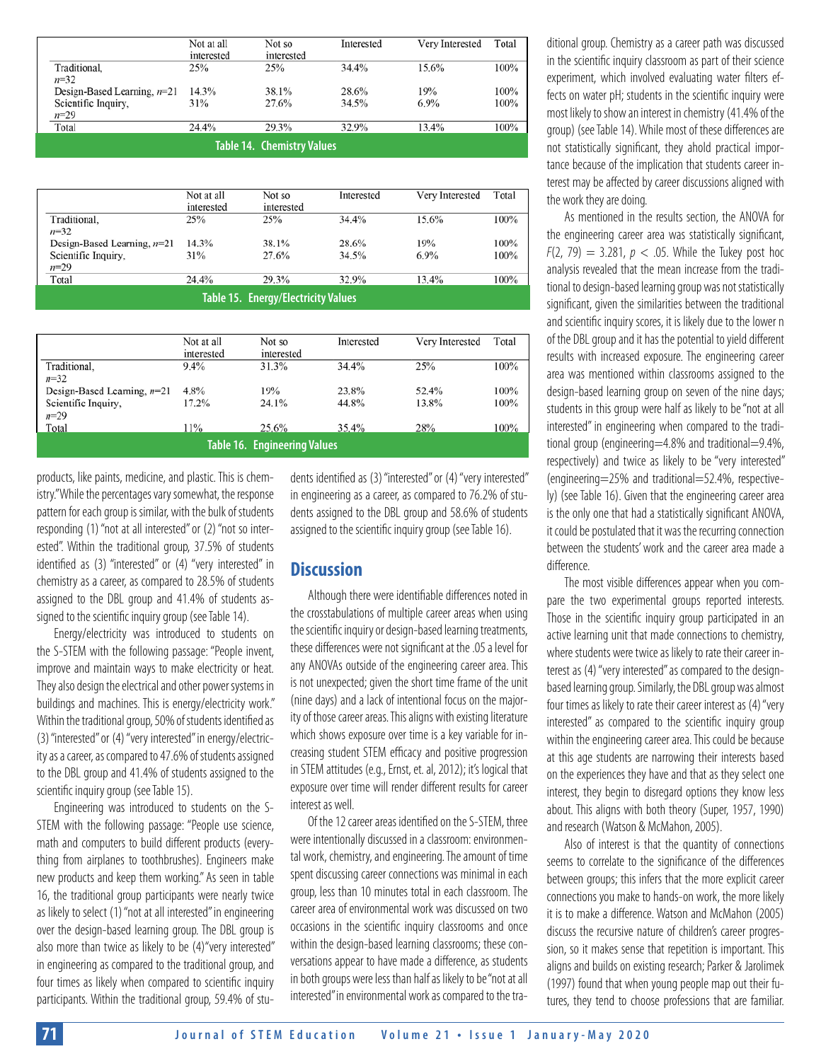|                                   | Not at all<br>interested | Not so<br>interested | Interested | Very Interested | Total |  |
|-----------------------------------|--------------------------|----------------------|------------|-----------------|-------|--|
| Traditional.<br>$n = 32$          | 25%                      | 25%                  | 34.4%      | 15.6%           | 100%  |  |
| Design-Based Learning, $n=21$     | 14.3%                    | 38.1%                | 28.6%      | 19%             | 100%  |  |
| Scientific Inquiry,<br>$n = 29$   | 31%                      | 27.6%                | 34.5%      | 6.9%            | 100%  |  |
| Total                             | 24.4%                    | 29.3%                | 32.9%      | 13.4%           | 100%  |  |
| <b>Table 14. Chemistry Values</b> |                          |                      |            |                 |       |  |

|                                            | Not at all<br>interested | Not so<br>interested | Interested | Very Interested | Total |  |
|--------------------------------------------|--------------------------|----------------------|------------|-----------------|-------|--|
| Traditional,<br>$n=32$                     | 25%                      | 25%                  | 34.4%      | 15.6%           | 100%  |  |
| Design-Based Learning, $n=21$              | 14.3%                    | 38.1%                | 28.6%      | 19%             | 100%  |  |
| Scientific Inquiry,<br>$n=29$              | 31%                      | 27.6%                | 34.5%      | $6.9\%$         | 100%  |  |
| Total                                      | 24.4%                    | 29.3%                | 32.9%      | 13.4%           | 100%  |  |
| <b>Table 15. Energy/Electricity Values</b> |                          |                      |            |                 |       |  |

|                                     | Not at all<br>interested | Not so<br>interested | Interested | Very Interested | Total   |  |
|-------------------------------------|--------------------------|----------------------|------------|-----------------|---------|--|
| Traditional,                        | 9.4%                     | 31.3%                | 34.4%      | 25%             | $100\%$ |  |
| $n = 32$                            |                          |                      |            |                 |         |  |
| Design-Based Learning, $n=21$       | 4.8%                     | 19%                  | 23.8%      | 52.4%           | 100%    |  |
| Scientific Inquiry,                 | 17.2%                    | 24.1%                | 44.8%      | 13.8%           | 100%    |  |
| $n=29$                              |                          |                      |            |                 |         |  |
| Total                               | 11%                      | 25.6%                | 35.4%      | 28%             | 100%    |  |
| <b>Table 16. Engineering Values</b> |                          |                      |            |                 |         |  |

products, like paints, medicine, and plastic. This is chemistry." While the percentages vary somewhat, the response pattern for each group is similar, with the bulk of students responding (1) "not at all interested" or (2) "not so interested". Within the traditional group, 37.5% of students identified as (3) "interested" or (4) "very interested" in chemistry as a career, as compared to 28.5% of students assigned to the DBL group and 41.4% of students assigned to the scientific inquiry group (see Table 14).

Energy/electricity was introduced to students on the S-STEM with the following passage: "People invent, improve and maintain ways to make electricity or heat. They also design the electrical and other power systems in buildings and machines. This is energy/electricity work." Within the traditional group, 50% of students identified as (3) "interested" or (4) "very interested" in energy/electricity as a career, as compared to 47.6% of students assigned to the DBL group and 41.4% of students assigned to the scientific inquiry group (see Table 15).

Engineering was introduced to students on the S-STEM with the following passage: "People use science, math and computers to build different products (everything from airplanes to toothbrushes). Engineers make new products and keep them working." As seen in table 16, the traditional group participants were nearly twice as likely to select (1) "not at all interested" in engineering over the design-based learning group. The DBL group is also more than twice as likely to be (4)"very interested" in engineering as compared to the traditional group, and four times as likely when compared to scientific inquiry participants. Within the traditional group, 59.4% of students identified as (3) "interested" or (4) "very interested" in engineering as a career, as compared to 76.2% of students assigned to the DBL group and 58.6% of students assigned to the scientific inquiry group (see Table 16).

### **Discussion**

Although there were identifiable differences noted in the crosstabulations of multiple career areas when using the scientific inquiry or design-based learning treatments, these differences were not significant at the .05 a level for any ANOVAs outside of the engineering career area. This is not unexpected; given the short time frame of the unit (nine days) and a lack of intentional focus on the majority of those career areas. This aligns with existing literature which shows exposure over time is a key variable for increasing student STEM efficacy and positive progression in STEM attitudes (e.g., Ernst, et. al, 2012); it's logical that exposure over time will render different results for career interest as well.

Of the 12 career areas identified on the S-STEM, three were intentionally discussed in a classroom: environmental work, chemistry, and engineering. The amount of time spent discussing career connections was minimal in each group, less than 10 minutes total in each classroom. The career area of environmental work was discussed on two occasions in the scientific inquiry classrooms and once within the design-based learning classrooms; these conversations appear to have made a difference, as students in both groups were less than half as likely to be "not at all interested" in environmental work as compared to the tra-

ditional group. Chemistry as a career path was discussed in the scientific inquiry classroom as part of their science experiment, which involved evaluating water filters effects on water pH; students in the scientific inquiry were most likely to show an interest in chemistry (41.4% of the group) (see Table 14). While most of these differences are not statistically significant, they ahold practical importance because of the implication that students career interest may be affected by career discussions aligned with the work they are doing.

As mentioned in the results section, the ANOVA for the engineering career area was statistically significant,  $F(2, 79) = 3.281, p < .05$ . While the Tukey post hoc analysis revealed that the mean increase from the traditional to design-based learning group was not statistically significant, given the similarities between the traditional and scientific inquiry scores, it is likely due to the lower n of the DBL group and it has the potential to yield different results with increased exposure. The engineering career area was mentioned within classrooms assigned to the design-based learning group on seven of the nine days; students in this group were half as likely to be "not at all interested" in engineering when compared to the traditional group (engineering=4.8% and traditional=9.4%, respectively) and twice as likely to be "very interested" (engineering=25% and traditional=52.4%, respectively) (see Table 16). Given that the engineering career area is the only one that had a statistically significant ANOVA, it could be postulated that it was the recurring connection between the students' work and the career area made a difference.

The most visible differences appear when you compare the two experimental groups reported interests. Those in the scientific inquiry group participated in an active learning unit that made connections to chemistry, where students were twice as likely to rate their career interest as (4) "very interested" as compared to the designbased learning group. Similarly, the DBL group was almost four times as likely to rate their career interest as (4) "very interested" as compared to the scientific inquiry group within the engineering career area. This could be because at this age students are narrowing their interests based on the experiences they have and that as they select one interest, they begin to disregard options they know less about. This aligns with both theory (Super, 1957, 1990) and research (Watson & McMahon, 2005).

Also of interest is that the quantity of connections seems to correlate to the significance of the differences between groups; this infers that the more explicit career connections you make to hands-on work, the more likely it is to make a difference. Watson and McMahon (2005) discuss the recursive nature of children's career progression, so it makes sense that repetition is important. This aligns and builds on existing research; Parker & Jarolimek (1997) found that when young people map out their futures, they tend to choose professions that are familiar.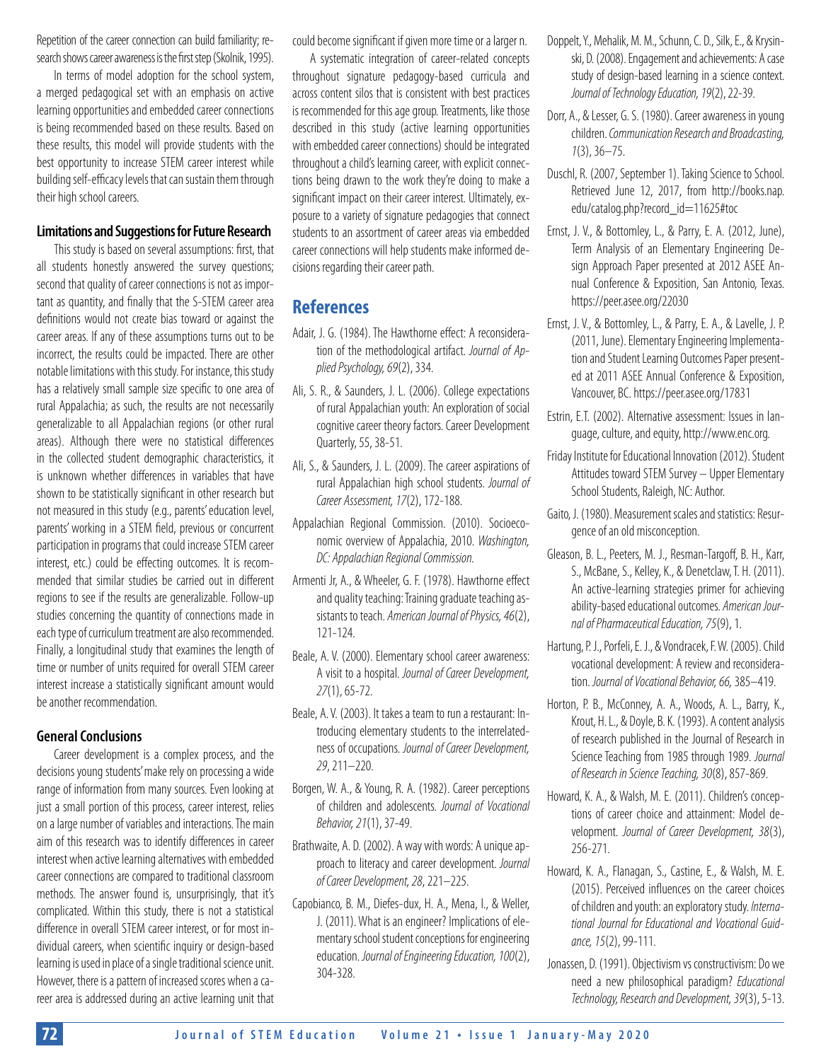Repetition of the career connection can build familiarity; research shows career awareness is the first step (Skolnik, 1995).

In terms of model adoption for the school system, a merged pedagogical set with an emphasis on active learning opportunities and embedded career connections is being recommended based on these results. Based on these results, this model will provide students with the best opportunity to increase STEM career interest while building self-efficacy levels that can sustain them through their high school careers.

#### **Limitations and Suggestions for Future Research**

This study is based on several assumptions: first, that all students honestly answered the survey questions; second that quality of career connections is not as important as quantity, and finally that the S-STEM career area definitions would not create bias toward or against the career areas. If any of these assumptions turns out to be incorrect, the results could be impacted. There are other notable limitations with this study. For instance, this study has a relatively small sample size specific to one area of rural Appalachia; as such, the results are not necessarily generalizable to all Appalachian regions (or other rural areas). Although there were no statistical differences in the collected student demographic characteristics, it is unknown whether differences in variables that have shown to be statistically significant in other research but not measured in this study (e.g., parents' education level, parents' working in a STEM field, previous or concurrent participation in programs that could increase STEM career interest, etc.) could be effecting outcomes. It is recommended that similar studies be carried out in different regions to see if the results are generalizable. Follow-up studies concerning the quantity of connections made in each type of curriculum treatment are also recommended. Finally, a longitudinal study that examines the length of time or number of units required for overall STEM career interest increase a statistically significant amount would be another recommendation.

#### **General Conclusions**

Career development is a complex process, and the decisions young students' make rely on processing a wide range of information from many sources. Even looking at just a small portion of this process, career interest, relies on a large number of variables and interactions. The main aim of this research was to identify differences in career interest when active learning alternatives with embedded career connections are compared to traditional classroom methods. The answer found is, unsurprisingly, that it's complicated. Within this study, there is not a statistical difference in overall STEM career interest, or for most individual careers, when scientific inquiry or design-based learning is used in place of a single traditional science unit. However, there is a pattern of increased scores when a career area is addressed during an active learning unit that could become significant if given more time or a larger n.

A systematic integration of career-related concepts throughout signature pedagogy-based curricula and across content silos that is consistent with best practices is recommended for this age group. Treatments, like those described in this study (active learning opportunities with embedded career connections) should be integrated throughout a child's learning career, with explicit connections being drawn to the work they're doing to make a significant impact on their career interest. Ultimately, exposure to a variety of signature pedagogies that connect students to an assortment of career areas via embedded career connections will help students make informed decisions regarding their career path.

## **References**

- Adair, J. G. (1984). The Hawthorne effect: A reconsideration of the methodological artifact. *Journal of Applied Psychology, 69*(2), 334.
- Ali, S. R., & Saunders, J. L. (2006). College expectations of rural Appalachian youth: An exploration of social cognitive career theory factors. Career Development Quarterly, 55, 38-51.
- Ali, S., & Saunders, J. L. (2009). The career aspirations of rural Appalachian high school students. *Journal of Career Assessment, 17*(2), 172-188.
- Appalachian Regional Commission. (2010). Socioeconomic overview of Appalachia, 2010. *Washington, DC: Appalachian Regional Commission.*
- Armenti Jr, A., & Wheeler, G. F. (1978). Hawthorne effect and quality teaching: Training graduate teaching assistants to teach. *American Journal of Physics, 46*(2), 121-124.
- Beale, A. V. (2000). Elementary school career awareness: A visit to a hospital. *Journal of Career Development, 27*(1), 65-72.
- Beale, A. V. (2003). It takes a team to run a restaurant: Introducing elementary students to the interrelatedness of occupations. *Journal of Career Development, 29*, 211–220.
- Borgen, W. A., & Young, R. A. (1982). Career perceptions of children and adolescents. *Journal of Vocational Behavior, 21*(1), 37-49.
- Brathwaite, A. D. (2002). A way with words: A unique approach to literacy and career development. *Journal of Career Development, 28*, 221–225.
- Capobianco, B. M., Diefes-dux, H. A., Mena, I., & Weller, J. (2011). What is an engineer? Implications of elementary school student conceptions for engineering education. *Journal of Engineering Education, 100*(2), 304-328.
- Doppelt, Y., Mehalik, M. M., Schunn, C. D., Silk, E., & Krysinski, D. (2008). Engagement and achievements: A case study of design-based learning in a science context. *Journal of Technology Education, 19*(2), 22-39.
- Dorr, A., & Lesser, G. S. (1980). Career awareness in young children. *Communication Research and Broadcasting, 1*(3), 36–75.
- Duschl, R. (2007, September 1). Taking Science to School. Retrieved June 12, 2017, from http://books.nap. edu/catalog.php?record\_id=11625#toc
- Ernst, J. V., & Bottomley, L., & Parry, E. A. (2012, June), Term Analysis of an Elementary Engineering Design Approach Paper presented at 2012 ASEE Annual Conference & Exposition, San Antonio, Texas. <https://peer.asee.org/22030>
- Ernst, J. V., & Bottomley, L., & Parry, E. A., & Lavelle, J. P. (2011, June). Elementary Engineering Implementation and Student Learning Outcomes Paper presented at 2011 ASEE Annual Conference & Exposition, Vancouver, BC. https://peer.asee.org/17831
- Estrin, E.T. (2002). Alternative assessment: Issues in language, culture, and equity, [http://www.enc.org.](http://www.enc.org)
- Friday Institute for Educational Innovation (2012). Student Attitudes toward STEM Survey – Upper Elementary School Students, Raleigh, NC: Author.
- Gaito, J. (1980). Measurement scales and statistics: Resurgence of an old misconception.
- Gleason, B. L., Peeters, M. J., Resman-Targoff, B. H., Karr, S., McBane, S., Kelley, K., & Denetclaw, T. H. (2011). An active-learning strategies primer for achieving ability-based educational outcomes. *American Journal of Pharmaceutical Education, 75*(9), 1.
- Hartung, P. J., Porfeli, E. J., & Vondracek, F. W. (2005). Child vocational development: A review and reconsideration. *Journal of Vocational Behavior, 66,* 385–419.
- Horton, P. B., McConney, A. A., Woods, A. L., Barry, K., Krout, H. L., & Doyle, B. K. (1993). A content analysis of research published in the Journal of Research in Science Teaching from 1985 through 1989. *Journal of Research in Science Teaching, 30*(8), 857-869.
- Howard, K. A., & Walsh, M. E. (2011). Children's conceptions of career choice and attainment: Model development. *Journal of Career Development, 38*(3), 256-271.
- Howard, K. A., Flanagan, S., Castine, E., & Walsh, M. E. (2015). Perceived influences on the career choices of children and youth: an exploratory study. *International Journal for Educational and Vocational Guidance, 15*(2), 99-111.
- Jonassen, D. (1991). Objectivism vs constructivism: Do we need a new philosophical paradigm? *Educational Technology, Research and Development, 39*(3), 5-13.